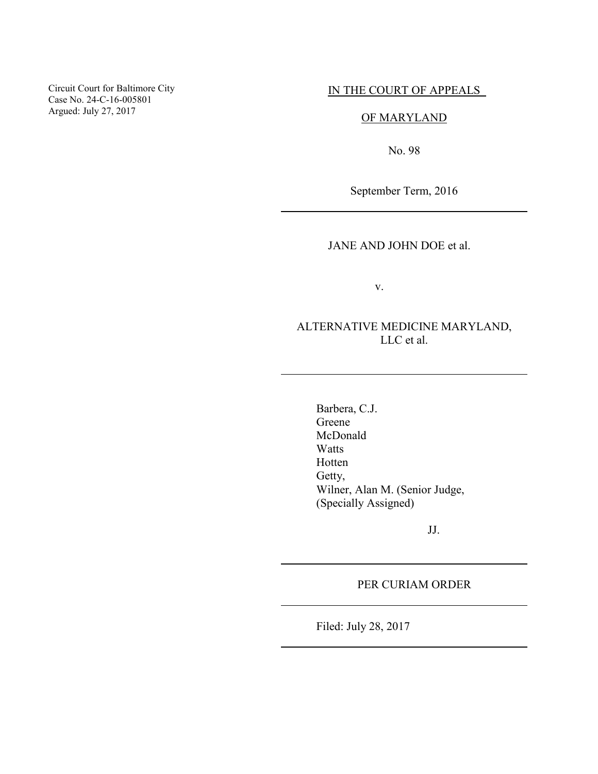Circuit Court for Baltimore City Case No. 24-C-16-005801 Argued: July 27, 2017

#### IN THE COURT OF APPEALS

# OF MARYLAND

No. 98

September Term, 2016

### JANE AND JOHN DOE et al.

v.

# ALTERNATIVE MEDICINE MARYLAND, LLC et al.

Barbera, C.J. Greene McDonald Watts Hotten Getty, Wilner, Alan M. (Senior Judge, (Specially Assigned)

JJ.

#### PER CURIAM ORDER

Filed: July 28, 2017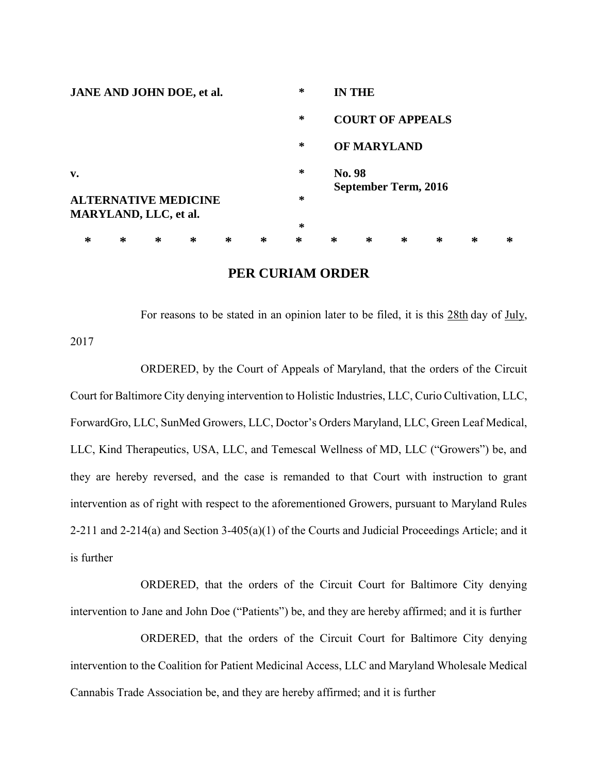| <b>JANE AND JOHN DOE, et al.</b>                     |   |   |   |   |   | ∗      |                                | <b>IN THE</b>      |   |   |   |   |  |
|------------------------------------------------------|---|---|---|---|---|--------|--------------------------------|--------------------|---|---|---|---|--|
|                                                      |   |   |   |   |   | ∗      | <b>COURT OF APPEALS</b>        |                    |   |   |   |   |  |
|                                                      |   |   |   |   |   | ∗      |                                | <b>OF MARYLAND</b> |   |   |   |   |  |
| $\mathbf{v}$ .                                       |   |   |   |   |   | ∗      | No. 98<br>September Term, 2016 |                    |   |   |   |   |  |
| <b>ALTERNATIVE MEDICINE</b><br>MARYLAND, LLC, et al. |   |   |   |   |   | ∗      |                                |                    |   |   |   |   |  |
|                                                      |   |   |   |   |   | $\ast$ |                                |                    |   |   |   |   |  |
| ∗                                                    | ∗ | ∗ | ∗ | ∗ | ∗ | ∗      | ∗                              | ∗                  | ∗ | ∗ | ∗ | ∗ |  |

## **PER CURIAM ORDER**

For reasons to be stated in an opinion later to be filed, it is this 28th day of July, 2017

ORDERED, by the Court of Appeals of Maryland, that the orders of the Circuit Court for Baltimore City denying intervention to Holistic Industries, LLC, Curio Cultivation, LLC, ForwardGro, LLC, SunMed Growers, LLC, Doctor's Orders Maryland, LLC, Green Leaf Medical, LLC, Kind Therapeutics, USA, LLC, and Temescal Wellness of MD, LLC ("Growers") be, and they are hereby reversed, and the case is remanded to that Court with instruction to grant intervention as of right with respect to the aforementioned Growers, pursuant to Maryland Rules 2-211 and 2-214(a) and Section 3-405(a)(1) of the Courts and Judicial Proceedings Article; and it is further

ORDERED, that the orders of the Circuit Court for Baltimore City denying intervention to Jane and John Doe ("Patients") be, and they are hereby affirmed; and it is further

ORDERED, that the orders of the Circuit Court for Baltimore City denying intervention to the Coalition for Patient Medicinal Access, LLC and Maryland Wholesale Medical Cannabis Trade Association be, and they are hereby affirmed; and it is further